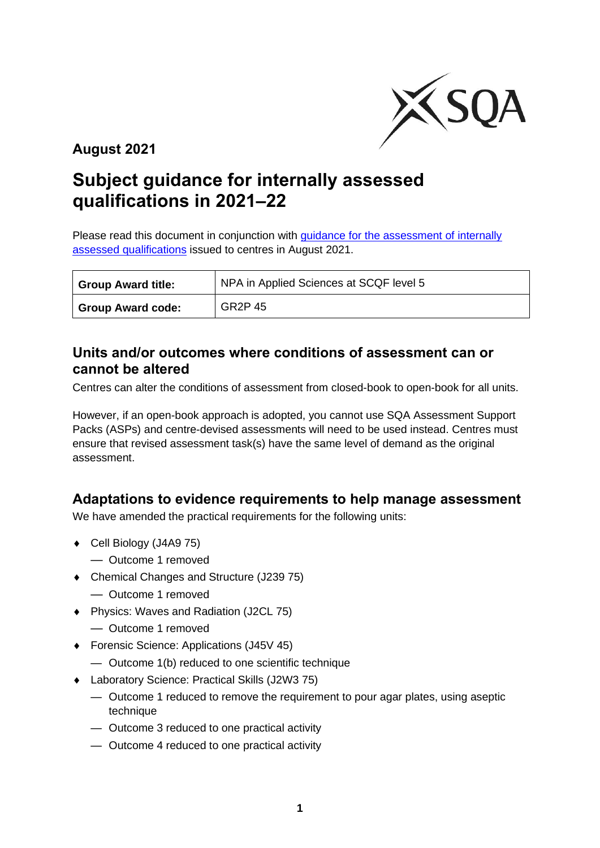

**August 2021**

# **Subject guidance for internally assessed qualifications in 2021–22**

Please read this document in conjunction with guidance for the assessment of internally [assessed qualifications](https://www.sqa.org.uk/sqa/96759.html) issued to centres in August 2021.

| <b>Group Award title:</b> | NPA in Applied Sciences at SCQF level 5 |
|---------------------------|-----------------------------------------|
| <b>Group Award code:</b>  | GR <sub>2</sub> P 45                    |

#### **Units and/or outcomes where conditions of assessment can or cannot be altered**

Centres can alter the conditions of assessment from closed-book to open-book for all units.

However, if an open-book approach is adopted, you cannot use SQA Assessment Support Packs (ASPs) and centre-devised assessments will need to be used instead. Centres must ensure that revised assessment task(s) have the same level of demand as the original assessment.

#### **Adaptations to evidence requirements to help manage assessment**

We have amended the practical requirements for the following units:

- Cell Biology (J4A9 75)
	- Outcome 1 removed
- Chemical Changes and Structure (J239 75)
	- Outcome 1 removed
- ◆ Physics: Waves and Radiation (J2CL 75)
	- Outcome 1 removed
- ◆ Forensic Science: Applications (J45V 45)
	- Outcome 1(b) reduced to one scientific technique
- Laboratory Science: Practical Skills (J2W3 75)
	- Outcome 1 reduced to remove the requirement to pour agar plates, using aseptic technique
	- Outcome 3 reduced to one practical activity
	- Outcome 4 reduced to one practical activity